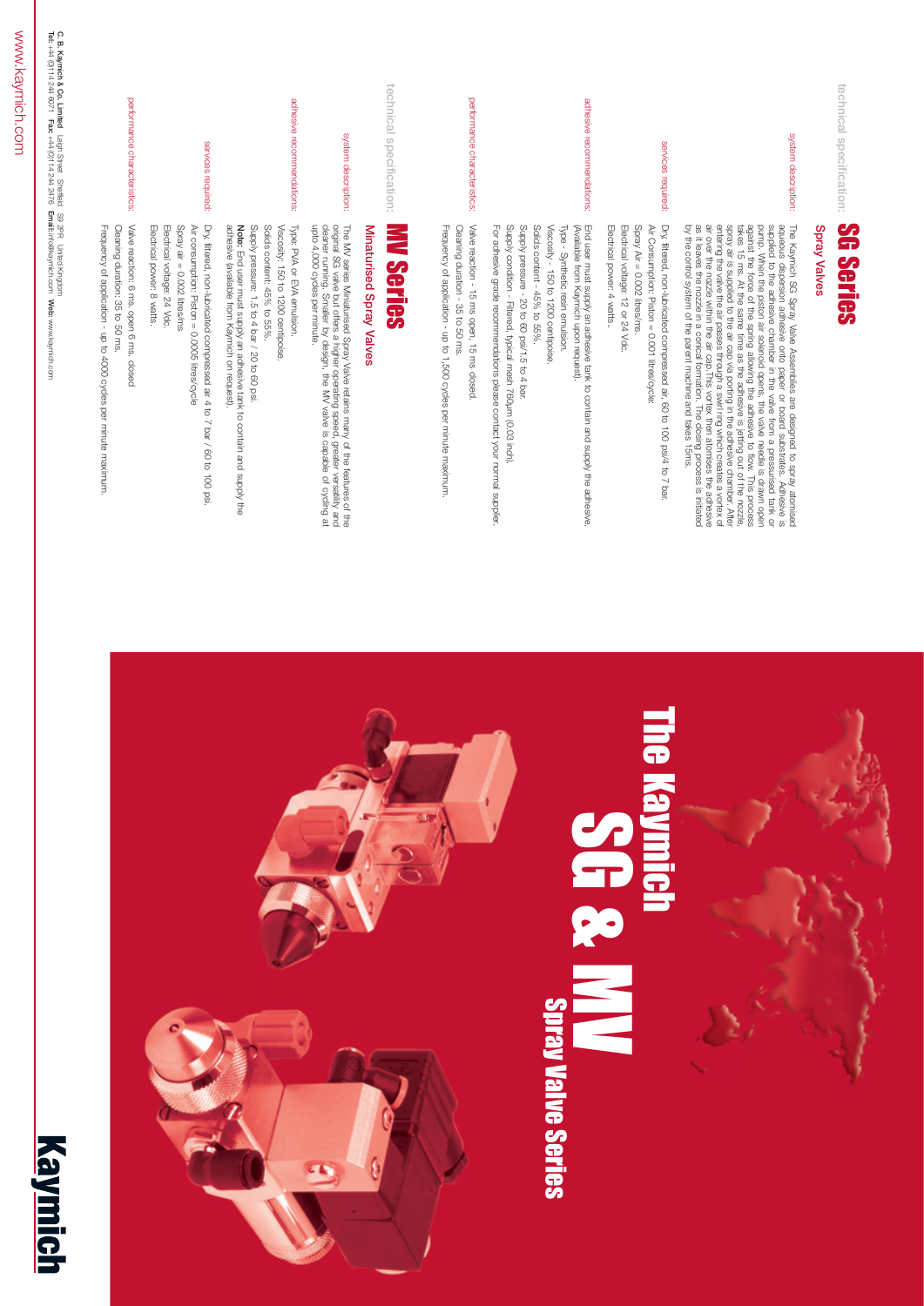





# Spray Valve Series

| technical specification:     | <b>SGries</b>                                                                                                                                                                                                                                                                                                                                                                                                            |
|------------------------------|--------------------------------------------------------------------------------------------------------------------------------------------------------------------------------------------------------------------------------------------------------------------------------------------------------------------------------------------------------------------------------------------------------------------------|
|                              | Spray Valves                                                                                                                                                                                                                                                                                                                                                                                                             |
| system<br>description:       | The Kaymich SG Spray Valve Assemblies are designed to spray adueous disperant and adueous dispersion adhesive onto paper or board substrates. Adhesive is supplied to the adhesive chamber in the valve from a pressurised ta                                                                                                                                                                                            |
| services required:           | Dry, filtered, non-lubricated compressed air, 60 to 100 psi/4 to 7 bar.<br>Electrical power: 4 watts<br>Electrical voltage: 12 or 24 Vdc.<br>Air Consumption: Piston = 0.001 litres/cycle:<br>Spray Air = 0.002 litres/ms.                                                                                                                                                                                               |
| adhesive recommendations:    | For adhesive grade recommendations please contact your normal supplier.<br>Supply pressure - 20 to 60 psi/1.5 to 4 bar.<br>Solids content - 45% to 55%.<br>Viscosity - 150 to 1200 centipoise.<br>Supply condition - Filtered, typical mesh 760um (0.03 inch).<br>Type - Synthetic resin emulsion.<br>End user must supply an adhesive tank to contain and supply the adhesive<br>(Available from Kaymich upon request). |
| performance characteristics: | Valve reaction - 15 ms open, 15 ms closed<br>Frequency of application - up to 1,500 cycles per minute maximum.<br>Cleaning duration - 35 to 50 ms.                                                                                                                                                                                                                                                                       |
| technical specification:     | E<br><b>Series</b>                                                                                                                                                                                                                                                                                                                                                                                                       |
|                              | Minaturised Spray Valves                                                                                                                                                                                                                                                                                                                                                                                                 |
| system description:          | The MV series Miniaturised Spray Valve retains many of the features of the original SG valve but offers a higher operating speed, greater versatility and cleaner running. Smaller by design, the MV valve is capable of cycli                                                                                                                                                                                           |
| adhesive recommendations:    | <b>Note:</b> End user must supply an adhesive tank to contain and supply the<br>adhesive (available from Kaymich on request).<br>Viscosity: 150 to 1200 centipoise<br>Type: PVA or EVA emulsion.<br>Solids content: 45% to 55%.<br>Supply pressure: 1.5 to 4 bar / 20 to 60 psi.                                                                                                                                         |
| services required:           | Dry, filtered, non-lubricated compressed air 4 to<br>Air consumption: Piston = 0.0005 litres/cycle<br>Electrical power: 8 watts.<br>Spray air $= 0.002$ litres/ms<br>Electrical voltage: 24 Vdc.<br>$\overline{\phantom{0}}$<br>bar / 60 to 100 psi.                                                                                                                                                                     |
| performance characteristics: | Valve reaction: 6 ms. open 6 ms.<br>Cleaning duration: 35 to 50 ms.<br>Frequency of application - up to 4000 cycles<br>closed<br>per minute maximum.                                                                                                                                                                                                                                                                     |